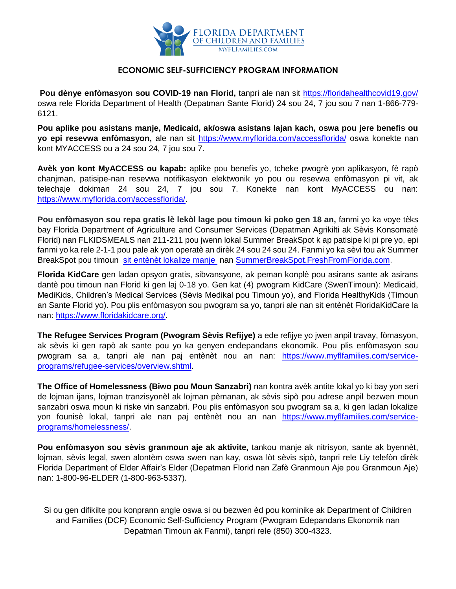

## **ECONOMIC SELF-SUFFICIENCY PROGRAM INFORMATION**

**Pou dènye enfòmasyon sou COVID-19 nan Florid,** tanpri ale nan sit<https://floridahealthcovid19.gov/> oswa rele Florida Department of Health (Depatman Sante Florid) 24 sou 24, 7 jou sou 7 nan 1-866-779- 6121.

**Pou aplike pou asistans manje, Medicaid, ak/oswa asistans lajan kach, oswa pou jere benefis ou yo epi resevwa enfòmasyon,** ale nan sit<https://www.myflorida.com/accessflorida/> oswa konekte nan kont MYACCESS ou a 24 sou 24, 7 jou sou 7.

**Avèk yon kont MyACCESS ou kapab:** aplike pou benefis yo, tcheke pwogrè yon aplikasyon, fè rapò chanjman, patisipe-nan resevwa notifikasyon elektwonik yo pou ou resevwa enfòmasyon pi vit, ak telechaje dokiman 24 sou 24, 7 jou sou 7. Konekte nan kont MyACCESS ou nan: [https://www.myflorida.com/accessflorida/.](https://www.myflorida.com/accessflorida/)

**Pou enfòmasyon sou repa gratis lè lekòl lage pou timoun ki poko gen 18 an,** fanmi yo ka voye tèks bay Florida Department of Agriculture and Consumer Services (Depatman Agrikilti ak Sèvis Konsomatè Florid) nan FLKIDSMEALS nan 211-211 pou jwenn lokal Summer BreakSpot k ap patisipe ki pi pre yo, epi fanmi yo ka rele 2-1-1 pou pale ak yon operatè an dirèk 24 sou 24 sou 24. Fanmi yo ka sèvi tou ak Summer BreakSpot pou timoun [sit entènèt lokalize manje](https://www.miamiherald.com/news/local/education/article241213466.html) nan [SummerBreakSpot.FreshFromFlorida.com.](https://summerbreakspot.freshfromflorida.com/)

**Florida KidCare** gen ladan opsyon gratis, sibvansyone, ak peman konplè pou asirans sante ak asirans dantè pou timoun nan Florid ki gen laj 0-18 yo. Gen kat (4) pwogram KidCare (SwenTimoun): Medicaid, MediKids, Children's Medical Services (Sèvis Medikal pou Timoun yo), and Florida HealthyKids (Timoun an Sante Florid yo). Pou plis enfòmasyon sou pwogram sa yo, tanpri ale nan sit entènèt FloridaKidCare la nan: [https://www.floridakidcare.org/.](https://www.floridakidcare.org/)

**The Refugee Services Program (Pwogram Sèvis Refijye)** a ede refijye yo jwen anpil travay, fòmasyon, ak sèvis ki gen rapò ak sante pou yo ka genyen endepandans ekonomik. Pou plis enfòmasyon sou pwogram sa a, tanpri ale nan paj entènèt nou an nan: [https://www.myflfamilies.com/service](https://www.myflfamilies.com/service-programs/refugee-services/overview.shtml)[programs/refugee-services/overview.shtml.](https://www.myflfamilies.com/service-programs/refugee-services/overview.shtml)

**The Office of Homelessness (Biwo pou Moun Sanzabri)** nan kontra avèk antite lokal yo ki bay yon seri de lojman ijans, lojman tranzisyonèl ak lojman pèmanan, ak sèvis sipò pou adrese anpil bezwen moun sanzabri oswa moun ki riske vin sanzabri. Pou plis enfòmasyon sou pwogram sa a, ki gen ladan lokalize yon founisè lokal, tanpri ale nan paj entènèt nou an nan [https://www.myflfamilies.com/service](https://www.myflfamilies.com/service-programs/homelessness/)[programs/homelessness/.](https://www.myflfamilies.com/service-programs/homelessness/)

**Pou enfòmasyon sou sèvis granmoun aje ak aktivite,** tankou manje ak nitrisyon, sante ak byennèt, lojman, sèvis legal, swen alontèm oswa swen nan kay, oswa lòt sèvis sipò, tanpri rele Liy telefòn dirèk Florida Department of Elder Affair's Elder (Depatman Florid nan Zafè Granmoun Aje pou Granmoun Aje) nan: 1-800-96-ELDER (1-800-963-5337).

Si ou gen difikilte pou konprann angle oswa si ou bezwen èd pou kominike ak Department of Children and Families (DCF) Economic Self-Sufficiency Program (Pwogram Edepandans Ekonomik nan Depatman Timoun ak Fanmi), tanpri rele (850) 300-4323.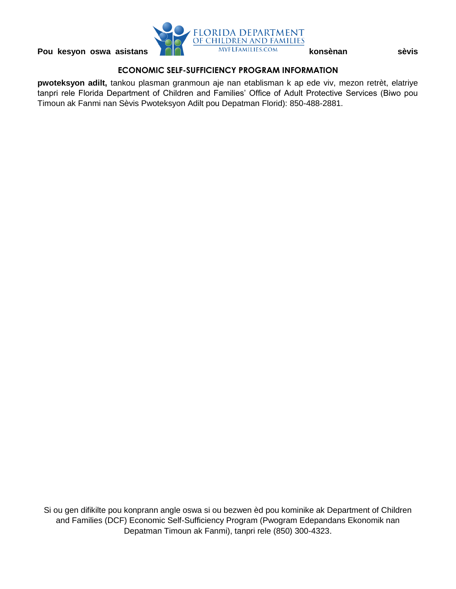

## **ECONOMIC SELF-SUFFICIENCY PROGRAM INFORMATION**

**pwoteksyon adilt,** tankou plasman granmoun aje nan etablisman k ap ede viv, mezon retrèt, elatriye tanpri rele Florida Department of Children and Families' Office of Adult Protective Services (Biwo pou Timoun ak Fanmi nan Sèvis Pwoteksyon Adilt pou Depatman Florid): 850-488-2881.

Si ou gen difikilte pou konprann angle oswa si ou bezwen èd pou kominike ak Department of Children and Families (DCF) Economic Self-Sufficiency Program (Pwogram Edepandans Ekonomik nan Depatman Timoun ak Fanmi), tanpri rele (850) 300-4323.